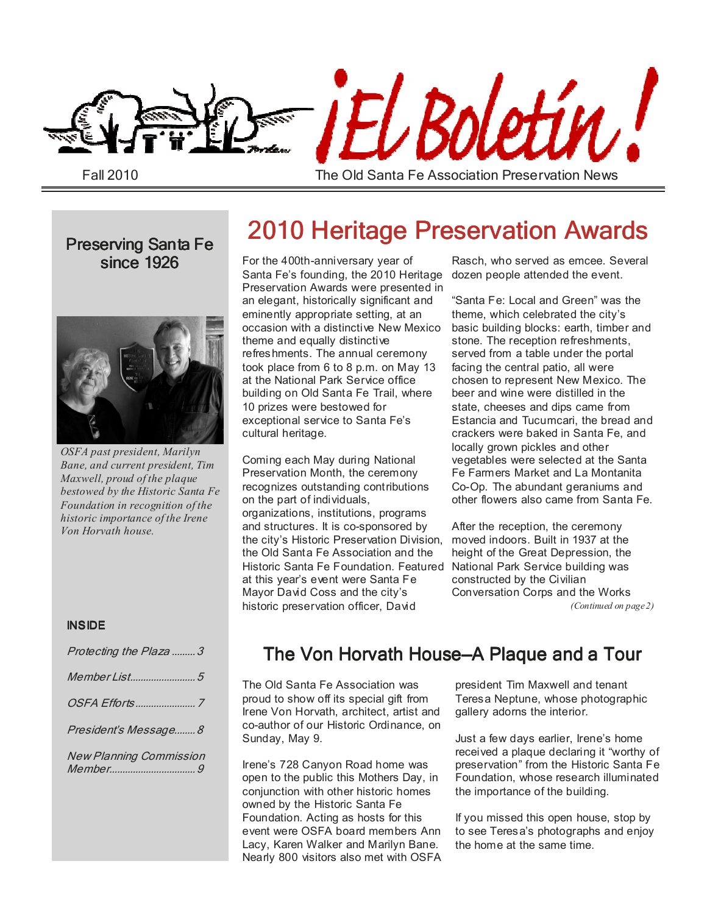

Fall 2010

The Old Santa Fe Association Preservation News

since 1926



*OSFA past president, Marilyn Bane, and current president, Tim Maxwell, proud of the plaque bestowed by the Historic Santa Fe Foundation in recognition of the historic importance of the Irene Von Horvath house.* 

#### INSIDE

| Protecting the Plaza  3        |
|--------------------------------|
|                                |
|                                |
| President's Message 8          |
| <b>New Planning Commission</b> |

# Preserving Santa Fe 2010 Heritage Preservation Awards

For the 400th-anniversary year of Santa Fe's founding, the 2010 Heritage Preservation Awards were presented in an elegant, historically significant and eminently appropriate setting, at an occasion with a distinctive New Mexico theme and equally distinctive refreshments. The annual ceremony took place from 6 to 8 p.m. on May 13 at the National Park Service office building on Old Santa Fe Trail, where 10 prizes were bestowed for exceptional service to Santa Fe's cultural heritage.

Coming each May during National Preservation Month, the ceremony recognizes outstanding contributions on the part of individuals, organizations, institutions, programs and structures. It is co-sponsored by the city's Historic Preservation Division, the Old Santa Fe Association and the Historic Santa Fe Foundation. Featured at this year's event were Santa Fe Mayor David Coss and the city's historic preservation officer, David

Rasch, who served as emcee. Several dozen people attended the event.

"Santa Fe: Local and Green" was the theme, which celebrated the city's basic building blocks: earth, timber and stone. The reception refreshments, served from a table under the portal facing the central patio, all were chosen to represent New Mexico. The beer and wine were distilled in the state, cheeses and dips came from Estancia and Tucumcari, the bread and crackers were baked in Santa Fe, and locally grown pickles and other vegetables were selected at the Santa Fe Farmers Market and La Montanita Co-Op. The abundant geraniums and other flowers also came from Santa Fe.

After the reception, the ceremony moved indoors. Built in 1937 at the height of the Great Depression, the National Park Service building was constructed by the Civilian Conversation Corps and the Works *(Continued on page 2)* 

### The Von Horvath House–A Plaque and a Tour

The Old Santa Fe Association was proud to show off its special gift from Irene Von Horvath, architect, artist and co-author of our Historic Ordinance, on Sunday, May 9.

Irene's 728 Canyon Road home was open to the public this Mothers Day, in conjunction with other historic homes owned by the Historic Santa Fe Foundation. Acting as hosts for this event were OSFA board members Ann Lacy, Karen Walker and Marilyn Bane. Nearly 800 visitors also met with OSFA president Tim Maxwell and tenant Teresa Neptune, whose photographic gallery adorns the interior.

Just a few days earlier, Irene's home received a plaque declaring it "worthy of preservation" from the Historic Santa Fe Foundation, whose research illuminated the importance of the building.

If you missed this open house, stop by to see Teresa's photographs and enjoy the home at the same time.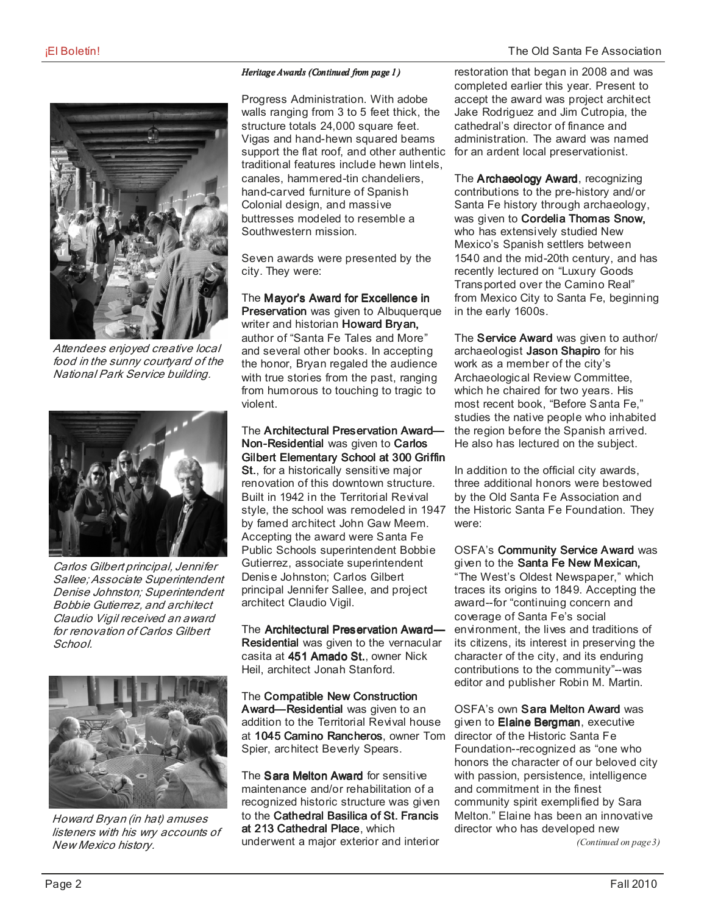

Attendees enjoyed creative local food in the sunny courtyard of the National Park Service building.



Carlos Gilbert principal, Jennifer Sallee; Associate Superintendent Denise Johnston; Superintendent Bobbie Gutierrez, and architect Claudio Vigil received an award for renovation of Carlos Gilbert School.



Howard Bryan (in hat) amuses listeners with his wry accounts of New Mexico history.

#### *Heritage Awards (Continued from page 1)*

Progress Administration. With adobe walls ranging from 3 to 5 feet thick, the structure totals 24,000 square feet. Vigas and hand-hewn squared beams support the flat roof, and other authentic traditional features include hewn lintels, canales, hammered-tin chandeliers, hand-carved furniture of Spanish Colonial design, and massive buttresses modeled to resemble a Southwestern mission.

Seven awards were presented by the city. They were:

The Mayor's Award for Excellence in Preservation was given to Albuquerque writer and historian Howard Bryan, author of "Santa Fe Tales and More" and several other books. In accepting the honor, Bryan regaled the audience with true stories from the past, ranging from humorous to touching to tragic to violent.

The Architectural Preservation Award-Non-Residential was given to Carlos Gilbert Elementary School at 300 Griffin St., for a historically sensitive major renovation of this downtown structure. Built in 1942 in the Territorial Revival style, the school was remodeled in 1947 by famed architect John Gaw Meem. Accepting the award were Santa Fe Public Schools superintendent Bobbie Gutierrez, associate superintendent Denise Johnston; Carlos Gilbert principal Jennifer Sallee, and project architect Claudio Vigil.

The Architectural Preservation Award-Residential was given to the vernacular casita at 451 Amado St., owner Nick Heil, architect Jonah Stanford.

The Compatible New Construction Award-Residential was given to an addition to the Territorial Revival house at 1045 Camino Rancheros, owner Tom Spier, architect Beverly Spears.

The Sara Melton Award for sensitive maintenance and/or rehabilitation of a recognized historic structure was given to the Cathedral Basilica of St. Francis at 213 Cathedral Place, which underwent a major exterior and interior

restoration that began in 2008 and was completed earlier this year. Present to accept the award was project architect Jake Rodriguez and Jim Cutropia, the cathedral's director of finance and administration. The award was named for an ardent local preservationist.

The **Archaeology Award**, recognizing contributions to the pre-history and/or Santa Fe history through archaeology, was given to Cordelia Thomas Snow, who has extensively studied New Mexico's Spanish settlers between 1540 and the mid-20th century, and has recently lectured on "Luxury Goods Transported over the Camino Real" from Mexico City to Santa Fe, beginning in the early 1600s.

The Service Award was given to author/ archaeologist Jason Shapiro for his work as a member of the city's Archaeological Review Committee, which he chaired for two years. His most recent book, "Before Santa Fe," studies the native people who inhabited the region before the Spanish arrived. He also has lectured on the subject.

In addition to the official city awards, three additional honors were bestowed by the Old Santa Fe Association and the Historic Santa Fe Foundation. They were:

OSFA's Community Service Award was given to the Santa Fe New Mexican, "The West's Oldest Newspaper,"which traces its origins to 1849. Accepting the award--for "continuing concern and coverage of Santa Fe's social environment, the lives and traditions of its citizens, its interest in preserving the character of the city, and its enduring contributions to the community"--was editor and publisher Robin M. Martin.

OSFA's own **Sara Melton Award** was given to Elaine Bergman, executive director of the Historic Santa Fe Foundation--recognized as "one who honors the character of our beloved city with passion, persistence, intelligence and commitment in the finest community spirit exemplified by Sara Melton." Elaine has been an innovative director who has developed new

*(Continued on page 3)*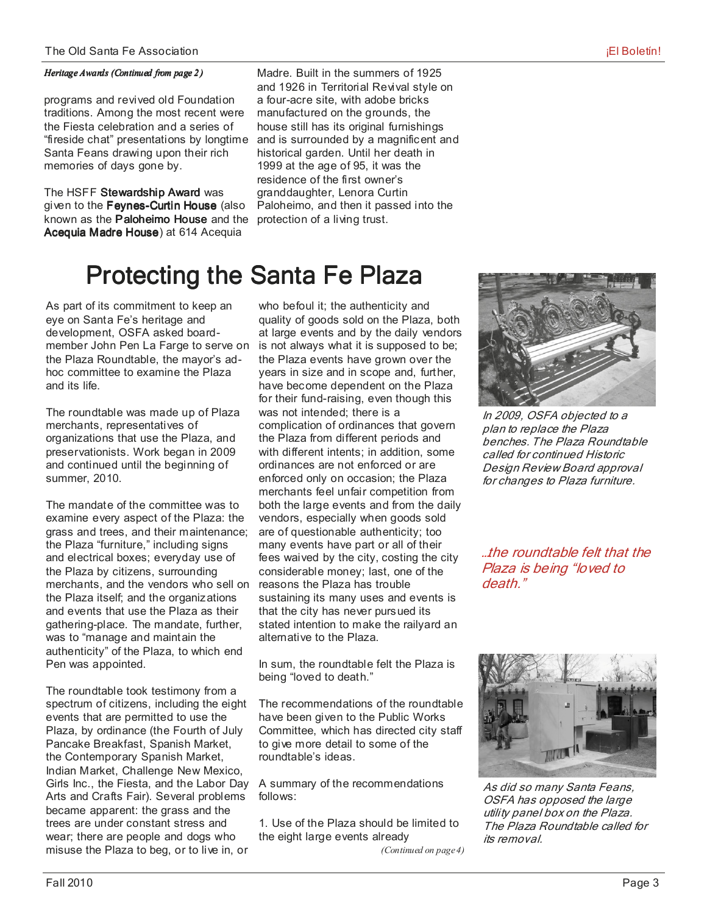#### *Heritage Awards (Continued from page 2)*

programs and revived old Foundation traditions. Among the most recent were the Fiesta celebration and a series of "fireside chat" presentations by longtime Santa Feans drawing upon their rich memories of days gone by.

The HSFF Stewardship Award was given to the Feynes-Curtin House (also known as the Paloheimo House and the Acequia Madre House) at 614 Acequia

Madre. Built in the summers of 1925 and 1926 in Territorial Revival style on a four-acre site, with adobe bricks manufactured on the grounds, the house still has its original furnishings and is surrounded by a magnificent and historical garden. Until her death in 1999 at the age of 95, it was the residence of the first owner's granddaughter, Lenora Curtin Paloheimo, and then it passed into the protection of a living trust.

# Protecting the Santa Fe Plaza

As part of its commitment to keep an eye on Santa Fe's heritage and development, OSFA asked boardmember John Pen La Farge to serve on the Plaza Roundtable, the mayor's adhoc committee to examine the Plaza and its life.

The roundtable was made up of Plaza merchants, representatives of organizations that use the Plaza, and preservationists. Work began in 2009 and continued until the beginning of summer, 2010.

The mandate of the committee was to examine every aspect of the Plaza: the grass and trees, and their maintenance; the Plaza "furniture," including signs and electrical boxes; everyday use of the Plaza by citizens, surrounding merchants, and the vendors who sell on the Plaza itself; and the organizations and events that use the Plaza as their gathering-place. The mandate, further, was to "manage and maintain the authenticity" of the Plaza, to which end Pen was appointed.

The roundtable took testimony from a spectrum of citizens, including the eight events that are permitted to use the Plaza, by ordinance (the Fourth of July Pancake Breakfast, Spanish Market, the Contemporary Spanish Market, Indian Market, Challenge New Mexico, Girls Inc., the Fiesta, and the Labor Day Arts and Crafts Fair). Several problems became apparent: the grass and the trees are under constant stress and wear; there are people and dogs who misuse the Plaza to beg, or to live in, or

who befoul it; the authenticity and quality of goods sold on the Plaza, both at large events and by the daily vendors is not always what it is supposed to be; the Plaza events have grown over the years in size and in scope and, further, have become dependent on the Plaza for their fund-raising, even though this was not intended; there is a complication of ordinances that govern the Plaza from different periods and with different intents; in addition, some ordinances are not enforced or are enforced only on occasion; the Plaza merchants feel unfair competition from both the large events and from the daily vendors, especially when goods sold are of questionable authenticity; too many events have part or all of their fees waived by the city, costing the city considerable money; last, one of the reasons the Plaza has trouble sustaining its many uses and events is that the city has never pursued its stated intention to make the railyard an alternative to the Plaza.

In sum, the roundtable felt the Plaza is being "loved to death."

The recommendations of the roundtable have been given to the Public Works Committee, which has directed city staff to give more detail to some of the roundtable's ideas.

A summary of the recommendations follows:

1. Use of the Plaza should be limited to the eight large events already

*(Continued on page 4)* 



In 2009, OSFA objected to a plan to replace the Plaza benches. The Plaza Roundtable called for continued Historic Design Review Board approval for changes to Plaza furniture.

…the roundtable felt that the Plaza is being "loved to death<sup>"</sup>



As did so many Santa Feans, OSFA has opposed the large utility panel box on the Plaza. The Plaza Roundtable called for its removal.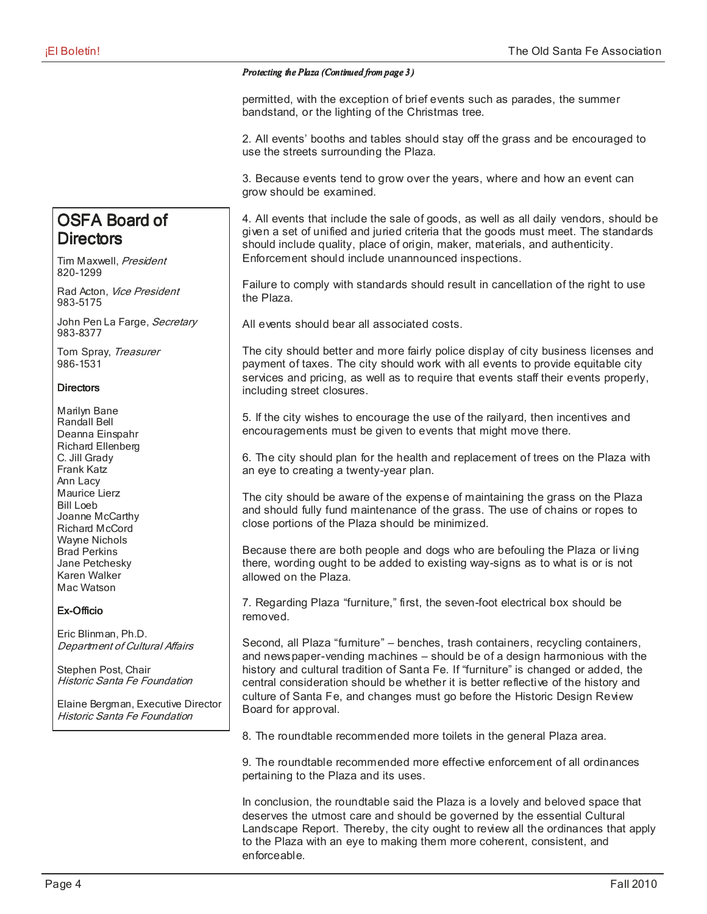#### *Protecting the Plaza (Continued from page 3 (Continued 3 )*

permitted, with the exception of brief events such as parades, the summer bandstand, or the lighting of the Christmas tree.

2. All events' booths and tables should stay off the grass and be encouraged to use the streets surrounding the Plaza.

3. Because events tend to grow over the years, where and how an event can grow should be examined.

4. All events that include the sale of goods, as well as all daily vendors, should be given a set of unified and juried criteria that the goods must meet. The standards should include quality, place of origin, maker, materials, and authenticity. Enforcement should include unannounced inspections.

Failure to comply with standards should result in cancellation of the right to use the Plaza.

All events should bear all associated costs.

The city should better and more fairly police display of city business licenses and payment of taxes. The city should work with all events to provide equitable city services and pricing, as well as to require that events staff their events properly, including street closures.

5. If the city wishes to encourage the use of the railyard, then incentives and encouragements must be given to events that might move there.

6. The city should plan for the health and replacement of trees on the Plaza with an eye to creating a twenty-year plan.

The city should be aware of the expense of maintaining the grass on the Plaza and should fully fund maintenance of the grass. The use of chains or ropes to close portions of the Plaza should be minimized.

Because there are both people and dogs who are befouling the Plaza or living there, wording ought to be added to existing way-signs as to what is or is not allowed on the Plaza.

7. Regarding Plaza "furniture," first, the seven-foot electrical box should be removed.

Second, all Plaza "furniture" – benches, trash containers, recycling containers, and newspaper-vending machines – should be of a design harmonious with the history and cultural tradition of Santa Fe. If "furniture" is changed or added, the central consideration should be whether it is better reflective of the history and culture of Santa Fe, and changes must go before the Historic Design Review Board for approval.

8. The roundtable recommended more toilets in the general Plaza area.

9. The roundtable recommended more effective enforcement of all ordinances pertaining to the Plaza and its uses.

In conclusion, the roundtable said the Plaza is a lovely and beloved space that deserves the utmost care and should be governed by the essential Cultural Landscape Report. Thereby, the city ought to review all the ordinances that apply to the Plaza with an eye to making them more coherent, consistent, and enforceable.

### OSFA Board of **Directors**

Tim Maxwell, President 820-1299

Rad Acton, Vice President 983-5175

John Pen La Farge, Secretary 983-8377

Tom Spray, Treasurer 986-1531

#### **Directors**

Marilyn Bane Randall Bell Deanna Einspahr Richard Ellenberg C. Jill Grady Frank Katz Ann Lacy Maurice Lierz Bill Loeb Joanne McCarthy Richard McCord Wayne Nichols Brad Perkins Jane Petchesky Karen Walker Mac Watson

#### Ex-Officio

Eric Blinman, Ph.D. Department of Cultural Affairs

Stephen Post, Chair Historic Santa Fe Foundation

Elaine Bergman, Executive Director Historic Santa Fe Foundation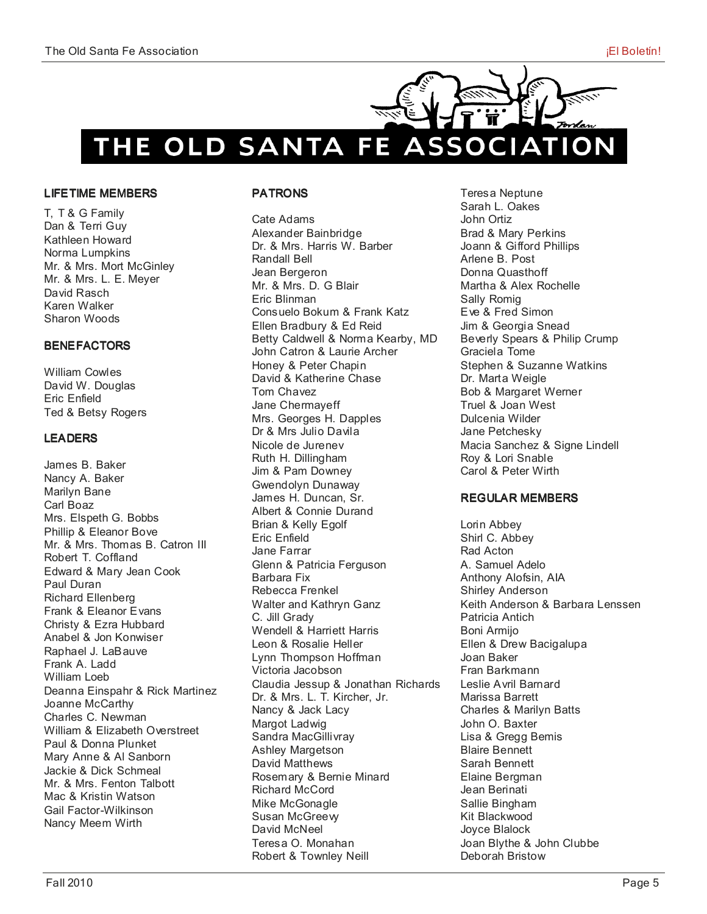

#### LIFETIME MEMBERS

T, T & G Family Dan & Terri Guy Kathleen Howard Norma Lumpkins Mr. & Mrs. Mort McGinley Mr. & Mrs. L. E. Meyer David Rasch Karen Walker Sharon Woods

#### **BENEFACTORS**

William Cowles David W. Douglas Eric Enfield Ted & Betsy Rogers

#### **LEADERS**

James B. Baker Nancy A. Baker Marilyn Bane Carl Boaz Mrs. Elspeth G. Bobbs Phillip & Eleanor Bove Mr. & Mrs. Thomas B. Catron III Robert T. Coffland Edward & Mary Jean Cook Paul Duran Richard Ellenberg Frank & Eleanor Evans Christy & Ezra Hubbard Anabel & Jon Konwiser Raphael J. LaBauve Frank A. Ladd William Loeb Deanna Einspahr & Rick Martinez Joanne McCarthy Charles C. Newman William & Elizabeth Overstreet Paul & Donna Plunket Mary Anne & Al Sanborn Jackie & Dick Schmeal Mr. & Mrs. Fenton Talbott Mac & Kristin Watson Gail Factor-Wilkinson Nancy Meem Wirth

#### **PATRONS**

Cate Adams Alexander Bainbridge Dr. & Mrs. Harris W. Barber Randall Bell Jean Bergeron Mr. & Mrs. D. G Blair Eric Blinman Consuelo Bokum & Frank Katz Ellen Bradbury & Ed Reid Betty Caldwell & Norma Kearby, MD John Catron & Laurie Archer Honey & Peter Chapin David & Katherine Chase Tom Chavez Jane Chermayeff Mrs. Georges H. Dapples Dr & Mrs Julio Davila Nicole de Jurenev Ruth H. Dillingham Jim & Pam Downey Gwendolyn Dunaway James H. Duncan, Sr. Albert & Connie Durand Brian & Kelly Egolf Eric Enfield Jane Farrar Glenn & Patricia Ferguson Barbara Fix Rebecca Frenkel Walter and Kathryn Ganz C. Jill Grady Wendell & Harriett Harris Leon & Rosalie Heller Lynn Thompson Hoffman Victoria Jacobson Claudia Jessup & Jonathan Richards Dr. & Mrs. L. T. Kircher, Jr. Nancy & Jack Lacy Margot Ladwig Sandra MacGillivray Ashley Margetson David Matthews Rosemary & Bernie Minard Richard McCord Mike McGonagle Susan McGreevy David McNeel Teresa O. Monahan Robert & Townley Neill

Teresa Neptune Sarah L. Oakes John Ortiz Brad & Mary Perkins Joann & Gifford Phillips Arlene B. Post Donna Quasthoff Martha & Alex Rochelle Sally Romig Eve & Fred Simon Jim & Georgia Snead Beverly Spears & Philip Crump Graciela Tome Stephen & Suzanne Watkins Dr. Marta Weigle Bob & Margaret Werner Truel & Joan West Dulcenia Wilder Jane Petchesky Macia Sanchez & Signe Lindell Roy & Lori Snable Carol & Peter Wirth

#### **REGULAR MEMBERS**

Lorin Abbey Shirl C. Abbey Rad Acton A. Samuel Adelo Anthony Alofsin, AIA Shirley Anderson Keith Anderson & Barbara Lenssen Patricia Antich Boni Armijo Ellen & Drew Bacigalupa Joan Baker Fran Barkmann Leslie Avril Barnard Marissa Barrett Charles & Marilyn Batts John O. Baxter Lisa & Gregg Bemis Blaire Bennett Sarah Bennett Elaine Bergman Jean Berinati Sallie Bingham Kit Blackwood Joyce Blalock Joan Blythe & John Clubbe Deborah Bristow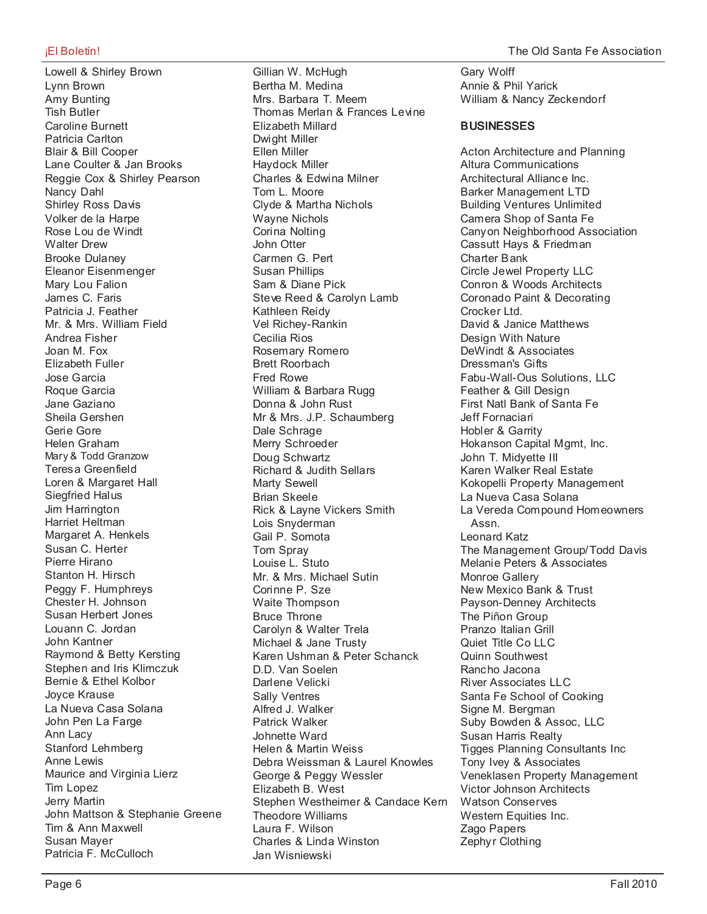Lowell & Shirley Brown Lynn Brown Amy Bunting Tish Butler Caroline Burnett Patricia Carlton Blair & Bill Cooper Lane Coulter & Jan Brooks Reggie Cox & Shirley Pearson Nancy Dahl Shirley Ross Davis Volker de la Harpe Rose Lou de Windt Walter Drew Brooke Dulaney Eleanor Eisenmenger Mary Lou Falion James C. Faris Patricia J. Feather Mr. & Mrs. William Field Andrea Fisher Joan M. Fox Elizabeth Fuller Jose Garcia Roque Garcia Jane Gaziano Sheila Gershen Gerie Gore Helen Graham Mary & Todd Granzow Teresa Greenfield Loren & Margaret Hall Siegfried Halus Jim Harrington Harriet Heltman Margaret A. Henkels Susan C. Herter Pierre Hirano Stanton H. Hirsch Peggy F. Humphreys Chester H. Johnson Susan Herbert Jones Louann C. Jordan John Kantner Raymond & Betty Kersting Stephen and Iris Klimczuk Bernie & Ethel Kolbor Joyce Krause La Nueva Casa Solana John Pen La Farge Ann Lacy Stanford Lehmberg Anne Lewis Maurice and Virginia Lierz Tim Lopez Jerry Martin John Mattson & Stephanie Greene Tim & Ann Maxwell Susan Mayer Patricia F. McCulloch

Gillian W. McHugh Bertha M. Medina Mrs. Barbara T. Meem Thomas Merlan & Frances Levine Elizabeth Millard Dwight Miller Ellen Miller Haydock Miller Charles & Edwina Milner Tom L. Moore Clyde & Martha Nichols Wayne Nichols Corina Nolting John Otter Carmen G. Pert Susan Phillips Sam & Diane Pick Steve Reed & Carolyn Lamb Kathleen Reidy Vel Richey-Rankin Cecilia Rios Rosemary Romero Brett Roorbach Fred Rowe William & Barbara Rugg Donna & John Rust Mr & Mrs. J.P. Schaumberg Dale Schrage Merry Schroeder Doug Schwartz Richard & Judith Sellars Marty Sewell Brian Skeele Rick & Layne Vickers Smith Lois Snyderman Gail P. Somota Tom Spray Louise L. Stuto Mr. & Mrs. Michael Sutin Corinne P. Sze Waite Thompson Bruce Throne Carolyn & Walter Trela Michael & Jane Trusty Karen Ushman & Peter Schanck D.D. Van Soelen Darlene Velicki Sally Ventres Alfred J. Walker Patrick Walker Johnette Ward Helen & Martin Weiss Debra Weissman & Laurel Knowles George & Peggy Wessler Elizabeth B. West Stephen Westheimer & Candace Kern Theodore Williams Laura F. Wilson Charles & Linda Winston Jan Wisniewski

Gary Wolff Annie & Phil Yarick William & Nancy Zeckendorf

#### **BUSINESSES**

Acton Architecture and Planning Altura Communications Architectural Alliance Inc. Barker Management LTD Building Ventures Unlimited Camera Shop of Santa Fe Canyon Neighborhood Association Cassutt Hays & Friedman Charter Bank Circle Jewel Property LLC Conron & Woods Architects Coronado Paint & Decorating Crocker Ltd. David & Janice Matthews Design With Nature DeWindt & Associates Dressman's Gifts Fabu-Wall-Ous Solutions, LLC Feather & Gill Design First Natl Bank of Santa Fe Jeff Fornaciari Hobler & Garrity Hokanson Capital Mgmt, Inc. John T. Midyette III Karen Walker Real Estate Kokopelli Property Management La Nueva Casa Solana La Vereda Compound Homeowners Assn. Leonard Katz The Management Group/Todd Davis Melanie Peters & Associates Monroe Gallery New Mexico Bank & Trust Payson-Denney Architects The Piñon Group Pranzo Italian Grill Quiet Title Co LLC Quinn Southwest Rancho Jacona River Associates LLC Santa Fe School of Cooking Signe M. Bergman Suby Bowden & Assoc, LLC Susan Harris Realty Tigges Planning Consultants Inc Tony Ivey & Associates Veneklasen Property Management Victor Johnson Architects Watson Conserves Western Equities Inc. Zago Papers Zephyr Clothing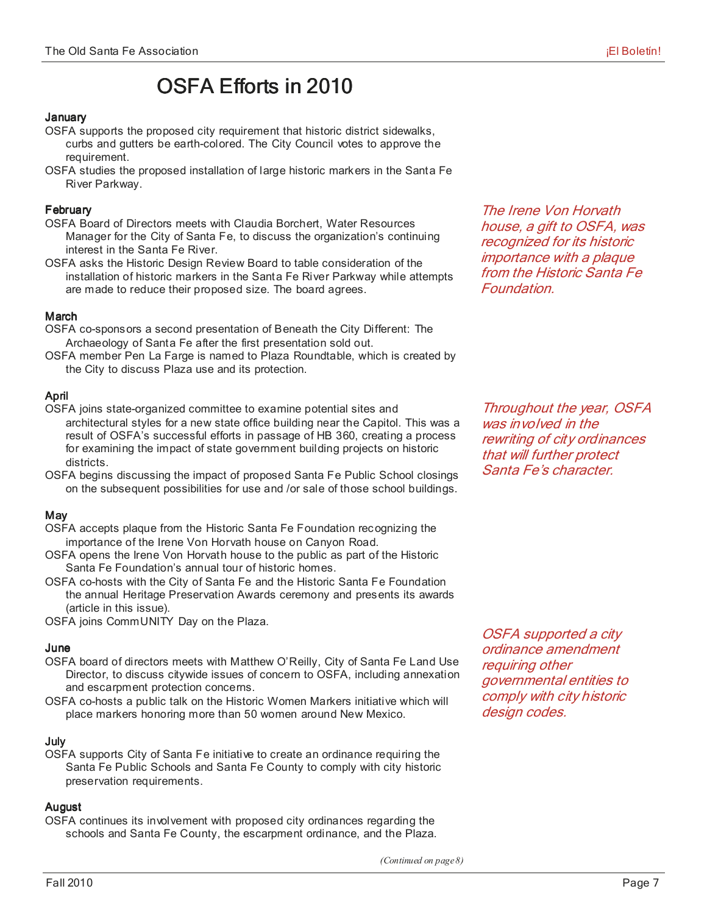## OSFA Efforts in 2010

#### **January**

- OSFA supports the proposed city requirement that historic district sidewalks, curbs and gutters be earth-colored. The City Council votes to approve the requirement.
- OSFA studies the proposed installation of large historic markers in the Santa Fe River Parkway.

#### **February**

- OSFA Board of Directors meets with Claudia Borchert, Water Resources Manager for the City of Santa Fe, to discuss the organization's continuing interest in the Santa Fe River.
- OSFA asks the Historic Design Review Board to table consideration of the installation of historic markers in the Santa Fe River Parkway while attempts are made to reduce their proposed size. The board agrees.

#### **March**

- OSFA co-sponsors a second presentation of Beneath the City Different: The Archaeology of Santa Fe after the first presentation sold out.
- OSFA member Pen La Farge is named to Plaza Roundtable, which is created by the City to discuss Plaza use and its protection.

#### April

- OSFA joins state-organized committee to examine potential sites and architectural styles for a new state office building near the Capitol. This was a result of OSFA's successful efforts in passage of HB 360, creating a process for examining the impact of state government building projects on historic districts.
- OSFA begins discussing the impact of proposed Santa Fe Public School closings on the subsequent possibilities for use and /or sale of those school buildings.

#### **May**

- OSFA accepts plaque from the Historic Santa Fe Foundation recognizing the importance of the Irene Von Horvath house on Canyon Road.
- OSFA opens the Irene Von Horvath house to the public as part of the Historic Santa Fe Foundation's annual tour of historic homes.
- OSFA co-hosts with the City of Santa Fe and the Historic Santa Fe Foundation the annual Heritage Preservation Awards ceremony and presents its awards (article in this issue).

OSFA joins CommUNITY Day on the Plaza.

#### June

- OSFA board of directors meets with Matthew O'Reilly, City of Santa Fe Land Use Director, to discuss citywide issues of concern to OSFA, including annexation and escarpment protection concerns.
- OSFA co-hosts a public talk on the Historic Women Markers initiative which will place markers honoring more than 50 women around New Mexico.

#### July

OSFA supports City of Santa Fe initiative to create an ordinance requiring the Santa Fe Public Schools and Santa Fe County to comply with city historic preservation requirements.

#### August

OSFA continues its involvement with proposed city ordinances regarding the schools and Santa Fe County, the escarpment ordinance, and the Plaza.

The Irene Von Horvath house, a gift to OSFA, was recognized for its historic importance with a plaque from the Historic Santa Fe Foundation.

Throughout the year, OSFA was involved in the rewriting of city ordinances that will further protect Santa Fe's character.

OSFA supported a city ordinance amendment requiring other governmental entities to comply with city historic design codes.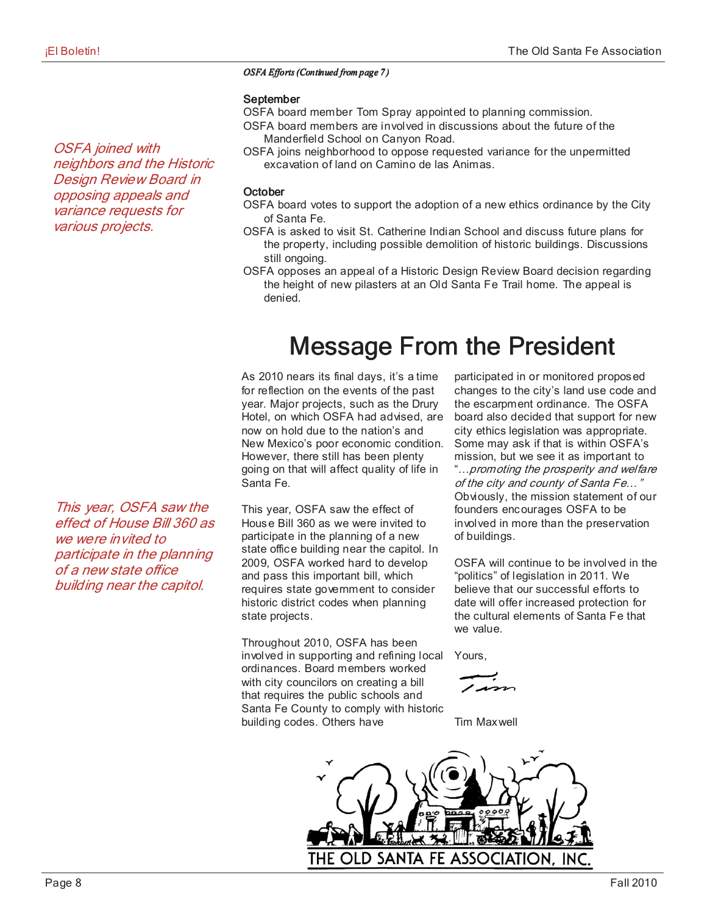#### *OSFA Efforts (Continued from page 7)*

#### September

OSFA board member Tom Spray appointed to planning commission.

- OSFA board members are involved in discussions about the future of the Manderfield School on Canyon Road.
- OSFA joins neighborhood to oppose requested variance for the unpermitted excavation of land on Camino de las Animas.

#### **October**

- OSFA board votes to support the adoption of a new ethics ordinance by the City of Santa Fe.
- OSFA is asked to visit St. Catherine Indian School and discuss future plans for the property, including possible demolition of historic buildings. Discussions still ongoing.
- OSFA opposes an appeal of a Historic Design Review Board decision regarding the height of new pilasters at an Old Santa Fe Trail home. The appeal is denied.

# **Message From the President**

As 2010 nears its final days, it's a time for reflection on the events of the past year. Major projects, such as the Drury Hotel, on which OSFA had advised, are now on hold due to the nation's and New Mexico's poor economic condition. However, there still has been plenty going on that will affect quality of life in Santa Fe.

This year, OSFA saw the effect of House Bill 360 as we were invited to participate in the planning of a new state office building near the capitol. In 2009, OSFA worked hard to develop and pass this important bill, which requires state government to consider historic district codes when planning state projects.

Throughout 2010, OSFA has been involved in supporting and refining local ordinances. Board members worked with city councilors on creating a bill that requires the public schools and Santa Fe County to comply with historic building codes. Others have

participated in or monitored proposed changes to the city's land use code and the escarpment ordinance. The OSFA board also decided that support for new city ethics legislation was appropriate. Some may ask if that is within OSFA's mission, but we see it as important to "…promoting the prosperity and welfare of the city and county of Santa Fe…" Obviously, the mission statement of our founders encourages OSFA to be involved in more than the preservation of buildings.

OSFA will continue to be involved in the "politics" of legislation in 2011. We believe that our successful efforts to date will offer increased protection for the cultural elements of Santa Fe that we value.

Yours,

Tim Maxwell



OSFA joined with neighbors and the Historic Design Review Board in opposing appeals and variance requests for various projects.

This year, OSFA saw the effect of House Bill 360 as we were invited to participate in the planning of a new state office building near the capitol.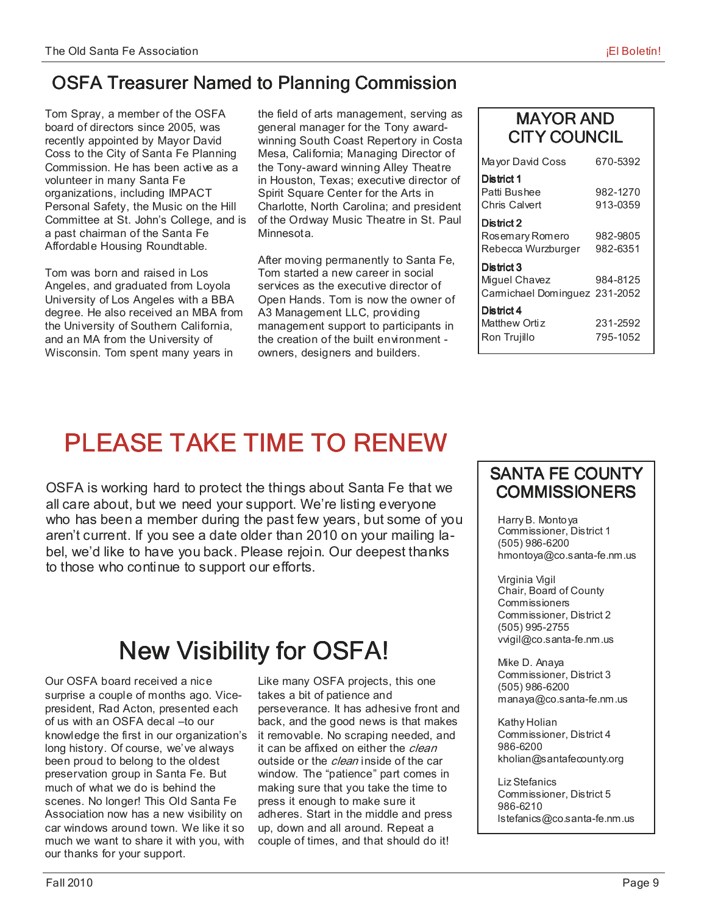### OSFA Treasurer Named to Planning Commission

Tom Spray, a member of the OSFA board of directors since 2005, was recently appointed by Mayor David Coss to the City of Santa Fe Planning Commission. He has been active as a volunteer in many Santa Fe organizations, including IMPACT Personal Safety, the Music on the Hill Committee at St. John's College, and is a past chairman of the Santa Fe Affordable Housing Roundtable.

Tom was born and raised in Los Angeles, and graduated from Loyola University of Los Angeles with a BBA degree. He also received an MBA from the University of Southern California, and an MA from the University of Wisconsin. Tom spent many years in

the field of arts management, serving as general manager for the Tony awardwinning South Coast Repertory in Costa Mesa, California; Managing Director of the Tony-award winning Alley Theatre in Houston, Texas; executive director of Spirit Square Center for the Arts in Charlotte, North Carolina; and president of the Ordway Music Theatre in St. Paul Minnesota.

After moving permanently to Santa Fe, Tom started a new career in social services as the executive director of Open Hands. Tom is now the owner of A3 Management LLC, providing management support to participants in the creation of the built environment owners, designers and builders.

| <b>MAYOR AND</b>    |
|---------------------|
| <b>CITY COUNCIL</b> |

| Mayor David Coss                                            | 670-5392             |
|-------------------------------------------------------------|----------------------|
| District 1<br>Patti Bushee<br>Chris Calvert                 | 982-1270<br>913-0359 |
| District 2<br>Rosemary Romero<br>Rebecca Wurzburger         | 982-9805<br>982-6351 |
| District 3<br>Miquel Chavez<br>Camichael Dominguez 231-2052 | 984-8125             |
| District 4<br>Matthew Ortiz<br>Ron Trujillo                 | 231-2592<br>795-1052 |

# PLEASE TAKE TIME TO RENEW

OSFA is working hard to protect the things about Santa Fe that we all care about, but we need your support. We're listing everyone who has been a member during the past few years, but some of you aren't current. If you see a date older than 2010 on your mailing label, we'd like to have you back. Please rejoin. Our deepest thanks to those who continue to support our efforts.

# New Visibility for OSFA!

Our OSFA board received a nice surprise a couple of months ago. Vicepresident, Rad Acton, presented each of us with an OSFA decal –to our knowledge the first in our organization's long history. Of course, we've always been proud to belong to the oldest preservation group in Santa Fe. But much of what we do is behind the scenes. No longer! This Old Santa Fe Association now has a new visibility on car windows around town. We like it so much we want to share it with you, with our thanks for your support.

Like many OSFA projects, this one takes a bit of patience and perseverance. It has adhesive front and back, and the good news is that makes it removable. No scraping needed, and it can be affixed on either the clean outside or the *clean* inside of the car window. The "patience" part comes in making sure that you take the time to press it enough to make sure it adheres. Start in the middle and press up, down and all around. Repeat a couple of times, and that should do it!

### SANTA FE COUNTY **COMMISSIONERS**

 Harry B. Montoya Commissioner, District 1 (505) 986-6200 hmontoya@co.santa-fe.nm.us

 Virginia Vigil Chair, Board of County **Commissioners**  Commissioner, District 2 (505) 995-2755 vvigil@co.santa-fe.nm.us

 Mike D. Anaya Commissioner, District 3 (505) 986-6200 manaya@co.santa-fe.nm.us

 Kathy Holian Commissioner, District 4 986-6200 kholian@santafecounty.org

 Liz Stefanics Commissioner, District 5 986-6210 lstefanics@co.santa-fe.nm.us